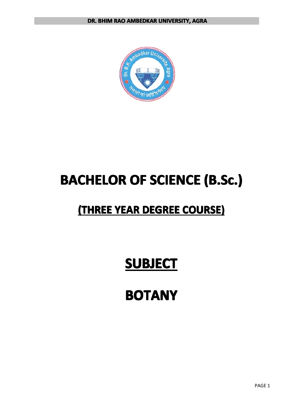

# **BACHELOR BACHELOR BACHELOR BACHELOROF SCIENCE SCIENCE SCIENCESCIENCE (B.Sc.) (B.Sc.) (B.Sc.) (B.Sc.)**

## $($ THREE YEAR DEGREE COURSE)

# **SUBJECT SUBJECT SUBJECTSUBJECT**

# **BOTANY**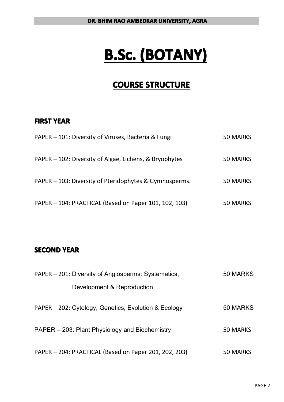# **B.Sc. (BOTANY) (BOTANY) (BOTANY) (BOTANY)**

### **COURSE STRUCTURE**

### **FIRST YEAR**

| PAPER – 101: Diversity of Viruses, Bacteria & Fungi    | 50 MARKS |
|--------------------------------------------------------|----------|
| PAPER – 102: Diversity of Algae, Lichens, & Bryophytes | 50 MARKS |
| PAPER - 103: Diversity of Pteridophytes & Gymnosperms. | 50 MARKS |
| PAPER - 104: PRACTICAL (Based on Paper 101, 102, 103)  | 50 MARKS |

### **SECOND YEAR**

| PAPER – 201: Diversity of Angiosperms: Systematics,   | 50 MARKS |
|-------------------------------------------------------|----------|
| Development & Reproduction                            |          |
| PAPER – 202: Cytology, Genetics, Evolution & Ecology  | 50 MARKS |
| PAPER – 203: Plant Physiology and Biochemistry        | 50 MARKS |
| PAPER - 204: PRACTICAL (Based on Paper 201, 202, 203) | 50 MARKS |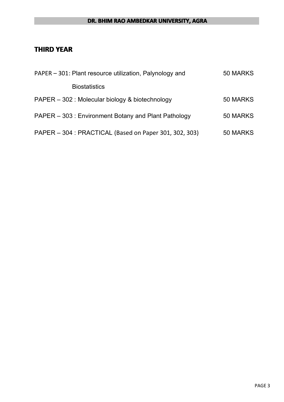#### **DR. BHIM RAO AMBEDKAR UNIVERSITY, AGRA**

### **THIRD YEAR**

| PAPER – 301: Plant resource utilization, Palynology and | 50 MARKS |
|---------------------------------------------------------|----------|
| <b>Biostatistics</b>                                    |          |
| PAPER - 302 : Molecular biology & biotechnology         | 50 MARKS |
| PAPER – 303 : Environment Botany and Plant Pathology    | 50 MARKS |
| PAPER - 304 : PRACTICAL (Based on Paper 301, 302, 303)  | 50 MARKS |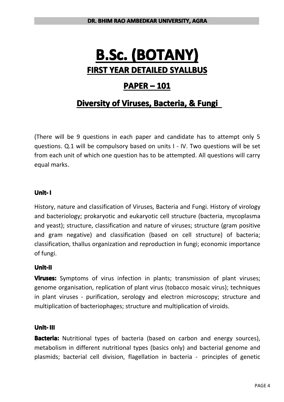## **B.Sc. (BOTANY) (BOTANY) (BOTANY) (BOTANY) FIRST YEAR DETAILED DETAILEDDETAILED SYALLBUS SYALLBUS**

### **PAPER – 101**

## **Diversity of Viruses, Bacteria, & Fungi**

(There will be 9 questions in each paper and candidate has to attempt only 5 questions. Q.1 will be compulsory based on units I - IV. Two questions will be set from each unit of which one question has to be attempted. All questions will carry equal marks.

**Unit- I**<br>**Histor**<br>and **y**<br>and g History, nature and classification of Viruses, Bacteria and Fungi. History of virology and bacteriology; prokaryotic and eukaryotic cell structure (bacteria, mycoplasma and yeast); structure, classification and nature of viruses; structure (gram positive and gram negative) and classification (based on cell structure) of bacteria; classification, thallus organization and reproduction in fungi; economic importance of fungi.

### **Unit-II Unit-II**

**Viruses:** Symptoms of virus infection in plants; transmission of plant viruses; genome organisation, replication of plant virus (tobacco mosaic virus); techniques in plant viruses - purification, serology and electron microscopy; structure and multiplication of bacteriophages; structure and multiplication of viroids.

**Unit-III**<br>**Bacteri**<br>metabo<br>plasmid **Bacteria:** Nutritional types of bacteria (based on carbon and energy sources), metabolism in different nutritional types (basics only) and bacterial genome and plasmids; bacterial cell division, flagellation in bacteria - principles of genetic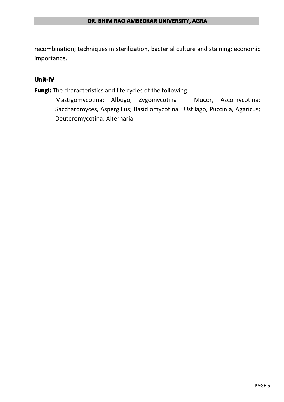recombination; techniques in sterilization, bacterial culture and staining; economic importance.

### **Unit-IV**

**Fungi:** The characteristics and life cycles of the following:

Mastigomycotina: Albugo, Zygomycotina – Mucor, Ascomycotina: Saccharomyces, Aspergillus; Basidiomycotina : Ustilago, Puccinia, Agaricus; Deuteromycotina: Alternaria.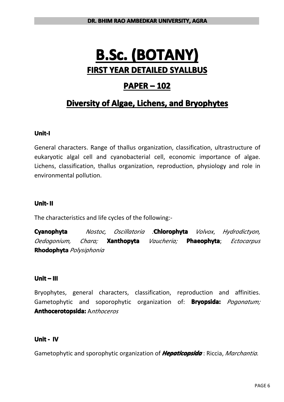## **B.Sc. (BOTANY) (BOTANY) (BOTANY) (BOTANY) FIRST YEAR DETAILED DETAILEDDETAILED SYALLBUS SYALLBUS**

### **PAPER – 102**

## **Diversity of Algae, Lichens, and Bryophytes**

### **Unit-I**

General characters. Range of thallus organization, classification, ultrastructure of eukaryotic algal cell and cyanobacterial cell, economic importance of algae. Lichens, classification, thallus organization, reproduction, physiology and role in environmental pollution.

The characteristics and life cycles of the following:-

**Unit-II**<br>The chappend<br>*Oedog* **Cyanophyta** *Nostoc, Oscillatoria :***Chlorophyta Chlorophyta** *Volvox*, *Hydrodictyon, Oedogonium, Chara;* **Xanthopyta** *Vaucheria;* **Phaeophyta;** *Ectocarpus* **Rhodophyta** *Polysiphonia*

### **Unit – III**

Bryophytes, general characters, classification, reproduction and affinities. Gametophytic and soporophytic organization of: **Bryopsida:** *Pogonatum;* **Anthocerotopsida: Anthocerotopsida: Anthocerotopsida:**A*nthoceros*

### **Unit - IV**

Gametophytic and sporophytic organization of *Hepaticopsida*: Riccia, *Marchantia.*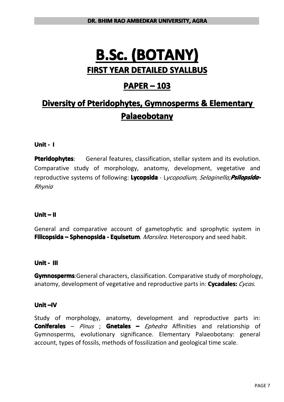## **B.Sc. (BOTANY) (BOTANY) (BOTANY) (BOTANY) FIRST YEAR DETAILED DETAILEDDETAILED SYALLBUS SYALLBUS**

### **PAPER – 103**

## **Diversity of Pteridophytes, Gymnosperms & Elementary Palaeobotany**

### **Unit - I**

**Pteridophytes:** General features, classification, stellar system and its evolution. Comparative study of morphology, anatomy, development, vegetative and reproductive systems of following: Lycopsida - Lycopodium, Selaginella;Psilopsida-*Rhynia*

### **Unit – II**

General and comparative account of gametophytic and sprophytic system in **Filicopsida – Sphenopsida - Equisetum**. Marsilea. Heterospory and seed habit.

### **Unit - III**

**Gymnosperms:**General characters, classification. Comparative study of morphology, anatomy, development of vegetative and reproductive parts in: **Cycadales:** *Cycas.* 

#### **Unit –IV**

Study of morphology, anatomy, development and reproductive parts in: **Coniferales** – *Pinus*; **Gnetales** – *Ephedra* Affinities and relationship of Gymnosperms, evolutionary significance. Elementary Palaeobotany: general account, types of fossils, methods of fossilization and geological time scale.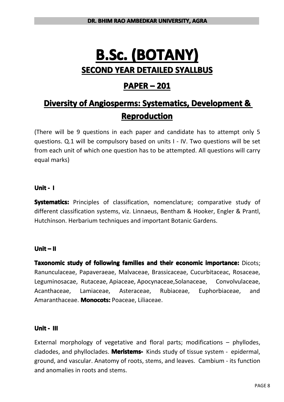## **B.Sc. (BOTANY) (BOTANY) (BOTANY) (BOTANY) SECOND YEAR DETAILED DETAILEDDETAILED SYALLBUS SYALLBUSSYALLBUS SYALLBUS**

### **PAPER – 201**

## **Diversity of Angiosperms: Systematics, Development & Reproduction Reproduction**

(There will be 9 questions in each paper and candidate has to attempt only 5 questions. Q.1 will be compulsory based on units I - IV. Two questions will be set from each unit of which one question has to be attempted. All questions will carry equal marks)

### **Unit - I**

**Systematics:** Principles of classification, nomenclature; comparative study of different classification systems, viz. Linnaeus, Bentham & Hooker, Engler & Prantl, Hutchinson. Herbarium techniques and important Botanic Gardens.

### **Unit – II**

Taxonomic study of following families and their economic importance: Dicots; Ranunculaceae, Papaveraeae, Malvaceae, Brassicaceae, Cucurbitaceac, Rosaceae, Leguminosacae, Rutaceae, Apiaceae, Apocynaceae, Solanaceae, Convolvulaceae, Acanthaceae, Lamiaceae, Asteraceae, Rubiaceae, Euphorbiaceae, and Amaranthaceae. **Monocots:** Poaceae, Liliaceae.

### **Unit - III**

External morphology of vegetative and floral parts; modifications  $-$  phyllodes, cladodes, and phylloclades. **Meristems-** Kinds study of tissue system - epidermal, ground, and vascular. Anatomy of roots, stems, and leaves. Cambium - its function and anomalies in roots and stems.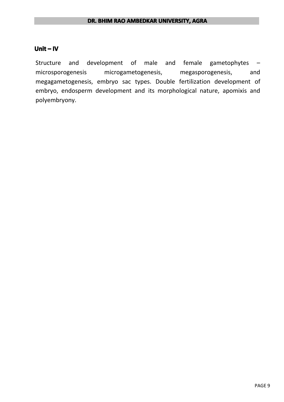#### **Unit – IV**

Structure and development of male and female gametophytes – microsporogenesis microgametogenesis, megasporogenesis, and megagametogenesis, embryo sac types. Double fertilization development of embryo, endosperm development and its morphological nature, apomixis and polyembryony.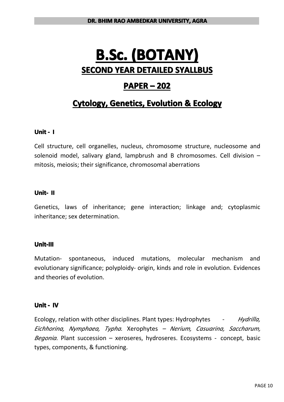## **B.Sc. (BOTANY) (BOTANY) (BOTANY) (BOTANY) SECOND YEAR DETAILED DETAILEDDETAILED SYALLBUS SYALLBUSSYALLBUS SYALLBUS**

### **PAPER – 202**

### **Cytology, Genetics, Evolution & Ecology**

### **Unit - I**

Cell structure, cell organelles, nucleus, chromosome structure, nucleosome and solenoid model, salivary gland, lampbrush and B chromosomes. Cell division – mitosis, meiosis; their significance, chromosomal aberrations

#### **Unit- II**

Genetics, laws of inheritance; gene interaction; linkage and; cytoplasmic inheritance: sex determination.

#### **Unit-III Unit-III**

Mutation- spontaneous, induced mutations, molecular mechanism and evolutionary significance; polyploidy- origin, kinds and role in evolution. Evidences and theories of evolution.

#### **Unit - IV**

Ecology, relation with other disciplines. Plant types: Hydrophytes - *Hydrilla, Eichhorina, Nymphaea, Typha.* Xerophytes *– Nerium, Casuarina, Saccharum, Begonia.* Plant succession – xeroseres, hydroseres. Ecosystems - concept, basic types, components, & functioning.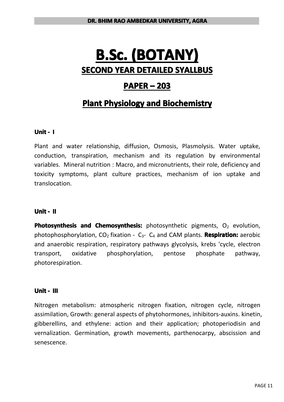## **B.Sc. (BOTANY) (BOTANY) (BOTANY) (BOTANY) SECOND YEAR DETAILED DETAILEDDETAILED SYALLBUS SYALLBUSSYALLBUS SYALLBUS**

### **PAPER – 203**

### **Plant Physiology and Biochemistry**

### **Unit - I**

Plant and water relationship, diffusion, Osmosis, Plasmolysis. Water uptake, conduction, transpiration, mechanism and its regulation by environmental variables. Mineral nutrition : Macro, and micronutrients, their role, deficiency and toxicity symptoms, plant culture practices, mechanism of ion uptake and translocation.

### **Unit - II**

**Photosynthesis and Chemosynthesis:** photosynthetic pigments, O<sub>2</sub> evolution, photophosphorylation, CO<sup>2</sup> fixation - C<sup>3</sup>- C<sup>4</sup> and CAM plants. **Respiration: Respiration:**aerobic and anaerobic respiration, respiratory pathways glycolysis, krebs 'cycle, electron transport, oxidative phosphorylation, pentose phosphate pathway, photorespiration.

### **Unit - III**

Nitrogen metabolism: atmospheric nitrogen fixation, nitrogen cycle, nitrogen assimilation, Growth: general aspects of phytohormones, inhibitors-auxins. kinetin, gibberellins, and ethylene: action and their application; photoperiodisin and vernalization. Germination, growth movements, parthenocarpy, abscission and senescence.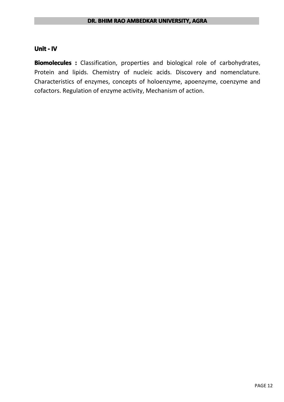#### **Unit - IV**

**Biomolecules**: Classification, properties and biological role of carbohydrates, Protein and lipids. Chemistry of nucleic acids. Discovery and nomenclature. Characteristics of enzymes, concepts of holoenzyme, apoenzyme, coenzyme and cofactors. Regulation of enzyme activity, Mechanism of action.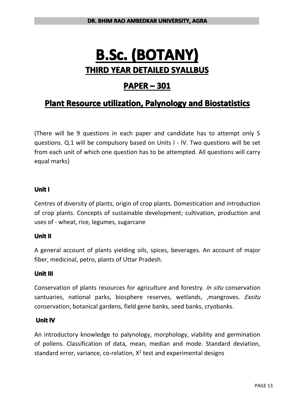## **B.Sc. (BOTANY) (BOTANY) (BOTANY) (BOTANY) THIRD YEAR DETAILED DETAILEDDETAILED SYALLBUS SYALLBUSSYALLBUS**

### **PAPER – 301**

### **Plant Resource utilization, Palynology and Biostatistics**

(There will be 9 questions in each paper and candidate has to attempt only 5 questions. Q.1 will be compulsory based on Units I - IV. Two questions will be set from each unit of which one question has to be attempted. All questions will carry equal marks)

### **Unit I**

Centres of diversity of plants, origin of crop plants. Domestication and introduction of crop plants. Concepts of sustainable development; cultivation, production and uses of - wheat, rice, legumes, sugarcane

### **Unit II**

A general account of plants yielding oils, spices, beverages. An account of major fiber, medicinal, petro, plants of Uttar Pradesh.

### **Unit III**

Conservation of plants resources for agriculture and forestry. *In situ* conservation santuaries, national parks, biosphere reserves, wetlands, ,mangroves. *Exsitu* conservation; botanical gardens, field gene banks, seed banks, cryobanks.

### **Unit IV**

An introductory knowledge to palynology, morphology, viability and germination of pollens. Classification of data, mean, median and mode. Standard deviation, standard error, variance, co-relation,  $X^2$  test and experimental designs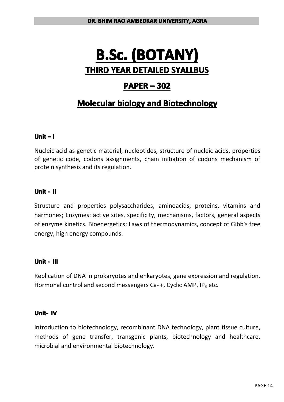## **B.Sc. (BOTANY) (BOTANY) (BOTANY) (BOTANY) THIRD YEAR DETAILED DETAILEDDETAILED SYALLBUS SYALLBUSSYALLBUS**

### **PAPER – 302**

### **Molecular biology and Biotechnology**

### **Unit – I**

Nucleic acid as genetic material, nucleotides, structure of nucleic acids, properties of genetic code, codons assignments, chain initiation of codons mechanism of protein synthesis and its regulation.

#### **Unit - II**

Structure and properties polysaccharides, aminoacids, proteins, vitamins and harmones; Enzymes: active sites, specificity, mechanisms, factors, general aspects of enzyme kinetics. Bioenergetics: Laws of thermodynamics, concept of Gibb's free energy, high energy compounds.

### **Unit - III**

Replication of DNA in prokaryotes and enkaryotes, gene expression and regulation. Replication of DNA in prokaryotes and enkaryotes, gene expression<br>Hormonal control and second messengers Ca- +, Cyclic AMP, IP<sub>3</sub> etc.<br>**Unit- IV**<br>Introduction to biotechnology. recombinant DNA technology. plan<sup>.</sup>

#### **Unit- IV**

Introduction to biotechnology, recombinant DNA technology, plant tissue culture, methods of gene transfer, transgenic plants, biotechnology and healthcare, microbial and environmental biotechnology.